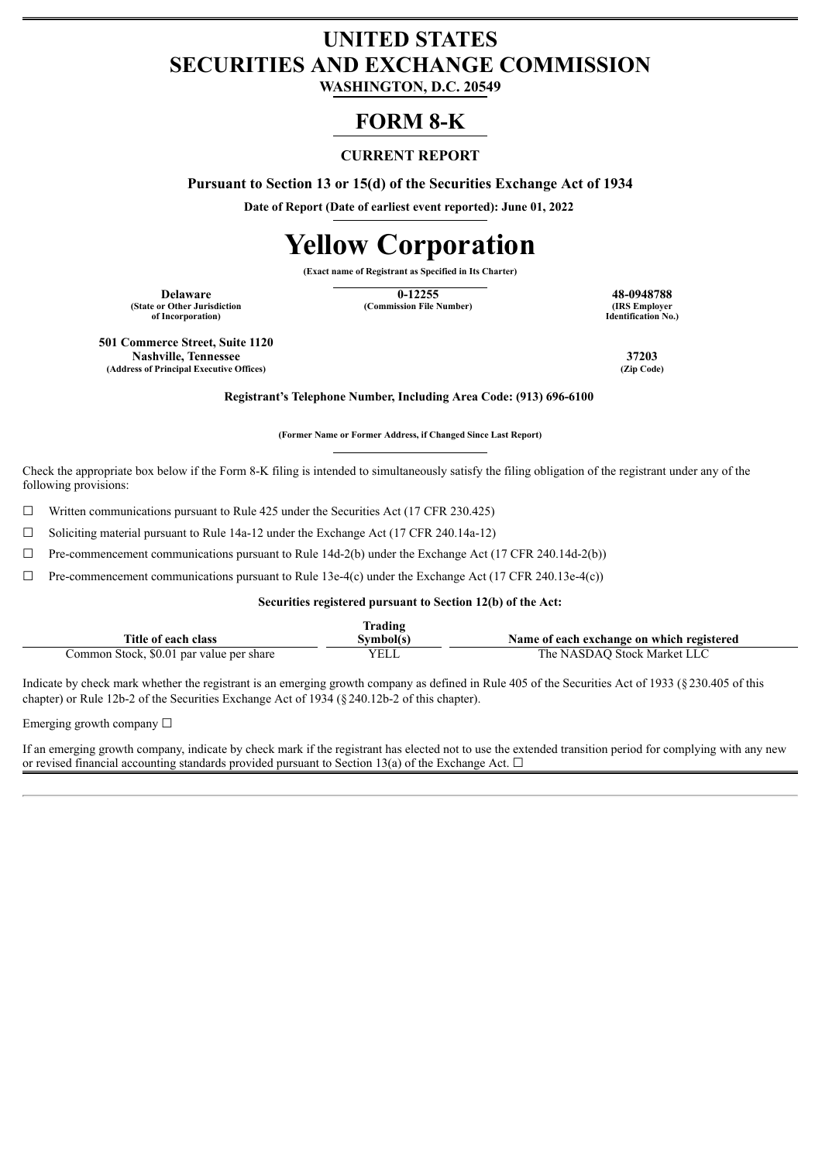# **UNITED STATES SECURITIES AND EXCHANGE COMMISSION**

**WASHINGTON, D.C. 20549**

# **FORM 8-K**

## **CURRENT REPORT**

**Pursuant to Section 13 or 15(d) of the Securities Exchange Act of 1934**

**Date of Report (Date of earliest event reported): June 01, 2022**

# **Yellow Corporation**

**(Exact name of Registrant as Specified in Its Charter)**

**(State or Other Jurisdiction of Incorporation)**

**Delaware 12255 48-0948788 48-0948788 12255 48-0948788 48-0948788 12255 48-0948788 (Commission File Number)** 

**Identification No.)**

**501 Commerce Street, Suite 1120 Nashville, Tennessee 37203 (Address of Principal Executive Offices) (Zip Code)**

**Registrant's Telephone Number, Including Area Code: (913) 696-6100**

**(Former Name or Former Address, if Changed Since Last Report)**

Check the appropriate box below if the Form 8-K filing is intended to simultaneously satisfy the filing obligation of the registrant under any of the following provisions:

 $\Box$  Written communications pursuant to Rule 425 under the Securities Act (17 CFR 230.425)

☐ Soliciting material pursuant to Rule 14a-12 under the Exchange Act (17 CFR 240.14a-12)

 $\Box$  Pre-commencement communications pursuant to Rule 14d-2(b) under the Exchange Act (17 CFR 240.14d-2(b))

 $\Box$  Pre-commencement communications pursuant to Rule 13e-4(c) under the Exchange Act (17 CFR 240.13e-4(c))

#### **Securities registered pursuant to Section 12(b) of the Act:**

| rading.                                  |             |                                           |  |  |  |
|------------------------------------------|-------------|-------------------------------------------|--|--|--|
| Title of each class                      | Svmbol(s`   | Name of each exchange on which registered |  |  |  |
| Common Stock, \$0.01 par value per share | <b>VELL</b> | The NASDAO Stock Market LLC               |  |  |  |

Indicate by check mark whether the registrant is an emerging growth company as defined in Rule 405 of the Securities Act of 1933 (§230.405 of this chapter) or Rule 12b-2 of the Securities Exchange Act of 1934 (§240.12b-2 of this chapter).

Emerging growth company  $\Box$ 

If an emerging growth company, indicate by check mark if the registrant has elected not to use the extended transition period for complying with any new or revised financial accounting standards provided pursuant to Section 13(a) of the Exchange Act.  $\Box$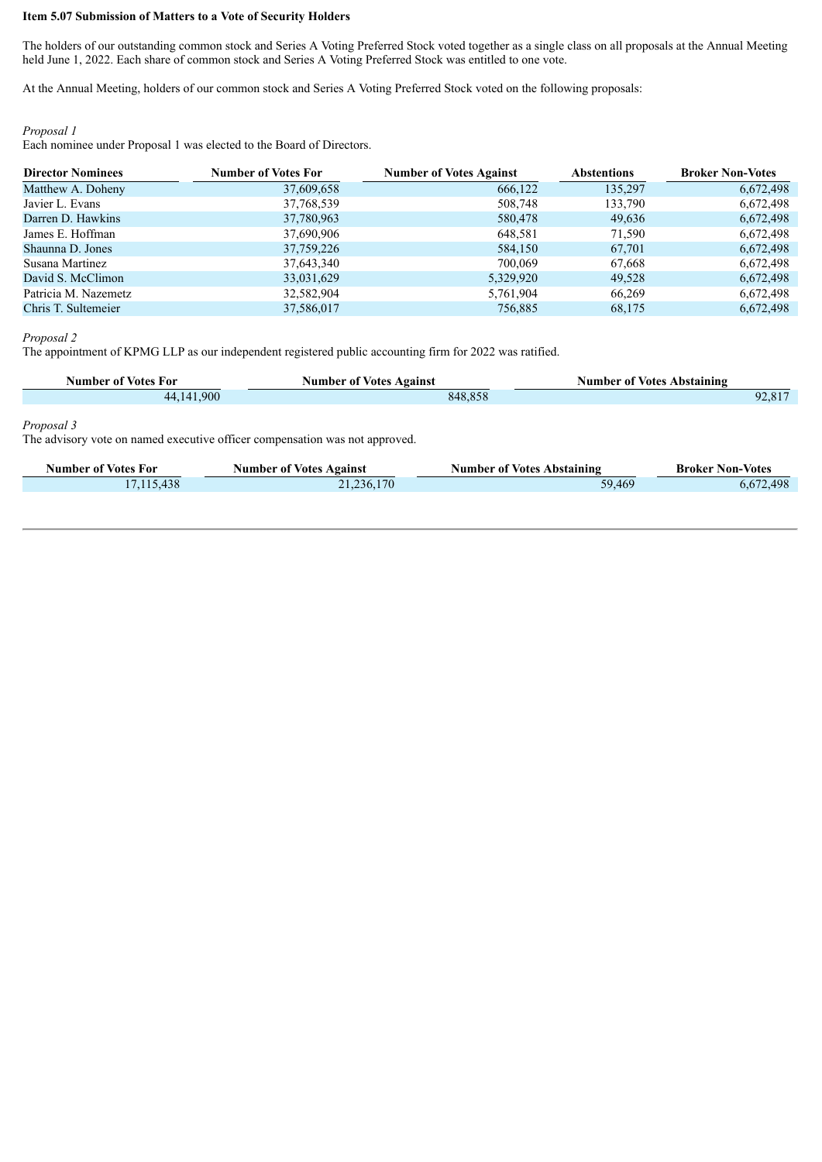#### **Item 5.07 Submission of Matters to a Vote of Security Holders**

The holders of our outstanding common stock and Series A Voting Preferred Stock voted together as a single class on all proposals at the Annual Meeting held June 1, 2022. Each share of common stock and Series A Voting Preferred Stock was entitled to one vote.

At the Annual Meeting, holders of our common stock and Series A Voting Preferred Stock voted on the following proposals:

#### *Proposal 1*

Each nominee under Proposal 1 was elected to the Board of Directors.

| <b>Director Nominees</b> | <b>Number of Votes For</b> | <b>Number of Votes Against</b> | <b>Abstentions</b> | <b>Broker Non-Votes</b> |
|--------------------------|----------------------------|--------------------------------|--------------------|-------------------------|
| Matthew A. Doheny        | 37,609,658                 | 666,122                        | 135,297            | 6,672,498               |
| Javier L. Evans          | 37,768,539                 | 508,748                        | 133,790            | 6,672,498               |
| Darren D. Hawkins        | 37,780,963                 | 580,478                        | 49,636             | 6,672,498               |
| James E. Hoffman         | 37,690,906                 | 648,581                        | 71,590             | 6,672,498               |
| Shaunna D. Jones         | 37,759,226                 | 584,150                        | 67,701             | 6,672,498               |
| Susana Martinez          | 37,643,340                 | 700,069                        | 67,668             | 6,672,498               |
| David S. McClimon        | 33,031,629                 | 5,329,920                      | 49,528             | 6,672,498               |
| Patricia M. Nazemetz     | 32,582,904                 | 5,761,904                      | 66,269             | 6,672,498               |
| Chris T. Sultemeier      | 37,586,017                 | 756,885                        | 68,175             | 6.672.498               |

*Proposal 2*

The appointment of KPMG LLP as our independent registered public accounting firm for 2022 was ratified.

| Number of Votes For | <b>Number of Votes Against</b> | <b>Number of Votes Abstaining</b> |
|---------------------|--------------------------------|-----------------------------------|
| 44,141,900          | 848.858                        | $92,81^{-}$                       |

#### *Proposal 3*

The advisory vote on named executive officer compensation was not approved.

| Number of Votes For | <b>Number of Votes Against</b> | <b>Number of Votes Abstaining</b> | <b>Broker Non-Votes</b> |
|---------------------|--------------------------------|-----------------------------------|-------------------------|
| 17.115.438          | 21,236,170                     | 59,469                            | .498                    |
|                     |                                |                                   |                         |